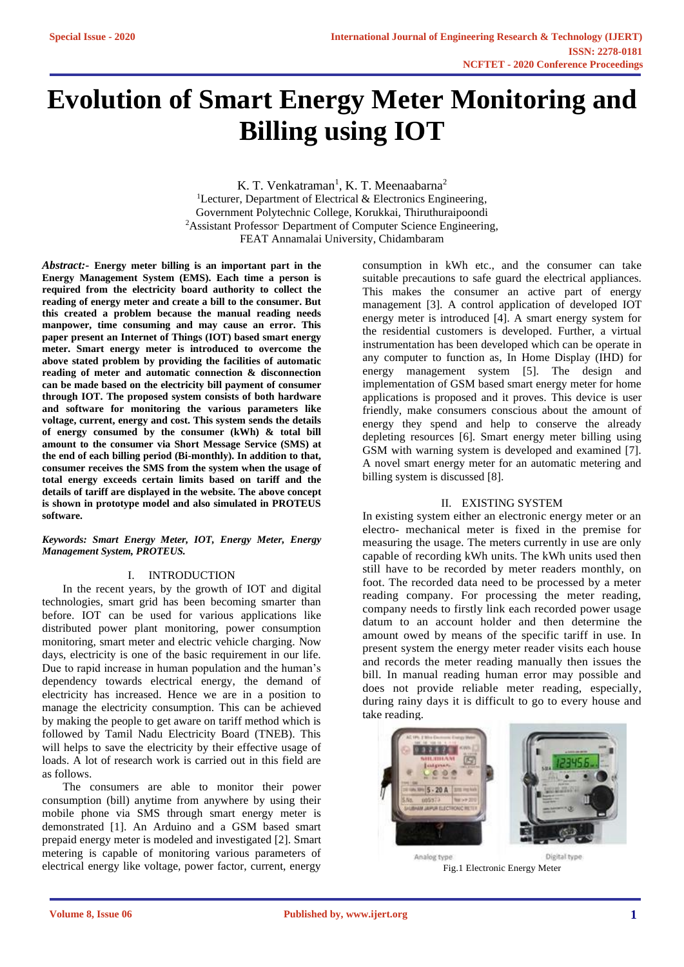# **Evolution of Smart Energy Meter Monitoring and Billing using IOT**

K. T. Venkatraman<sup>1</sup>, K. T. Meenaabarna<sup>2</sup> <sup>1</sup>Lecturer, Department of Electrical  $\&$  Electronics Engineering, Government Polytechnic College, Korukkai, Thiruthuraipoondi <sup>2</sup>Assistant Professor, Department of Computer Science Engineering, FEAT Annamalai University, Chidambaram

*Abstract:-* **Energy meter billing is an important part in the Energy Management System (EMS). Each time a person is required from the electricity board authority to collect the reading of energy meter and create a bill to the consumer. But this created a problem because the manual reading needs manpower, time consuming and may cause an error. This paper present an Internet of Things (IOT) based smart energy meter. Smart energy meter is introduced to overcome the above stated problem by providing the facilities of automatic reading of meter and automatic connection & disconnection can be made based on the electricity bill payment of consumer through IOT. The proposed system consists of both hardware and software for monitoring the various parameters like voltage, current, energy and cost. This system sends the details of energy consumed by the consumer (kWh) & total bill amount to the consumer via Short Message Service (SMS) at the end of each billing period (Bi-monthly). In addition to that, consumer receives the SMS from the system when the usage of total energy exceeds certain limits based on tariff and the details of tariff are displayed in the website. The above concept is shown in prototype model and also simulated in PROTEUS software.**

#### *Keywords: Smart Energy Meter, IOT, Energy Meter, Energy Management System, PROTEUS.*

#### I. INTRODUCTION

In the recent years, by the growth of IOT and digital technologies, smart grid has been becoming smarter than before. IOT can be used for various applications like distributed power plant monitoring, power consumption monitoring, smart meter and electric vehicle charging. Now days, electricity is one of the basic requirement in our life. Due to rapid increase in human population and the human's dependency towards electrical energy, the demand of electricity has increased. Hence we are in a position to manage the electricity consumption. This can be achieved by making the people to get aware on tariff method which is followed by Tamil Nadu Electricity Board (TNEB). This will helps to save the electricity by their effective usage of loads. A lot of research work is carried out in this field are as follows.

The consumers are able to monitor their power consumption (bill) anytime from anywhere by using their mobile phone via SMS through smart energy meter is demonstrated [1]. An Arduino and a GSM based smart prepaid energy meter is modeled and investigated [2]. Smart metering is capable of monitoring various parameters of electrical energy like voltage, power factor, current, energy

consumption in kWh etc., and the consumer can take suitable precautions to safe guard the electrical appliances. This makes the consumer an active part of energy management [3]. A control application of developed IOT energy meter is introduced [4]. A smart energy system for the residential customers is developed. Further, a virtual instrumentation has been developed which can be operate in any computer to function as, In Home Display (IHD) for energy management system [5]. The design and implementation of GSM based smart energy meter for home applications is proposed and it proves. This device is user friendly, make consumers conscious about the amount of energy they spend and help to conserve the already depleting resources [6]. Smart energy meter billing using GSM with warning system is developed and examined [7]. A novel smart energy meter for an automatic metering and billing system is discussed [8].

#### II. EXISTING SYSTEM

In existing system either an electronic energy meter or an electro- mechanical meter is fixed in the premise for measuring the usage. The meters currently in use are only capable of recording kWh units. The kWh units used then still have to be recorded by meter readers monthly, on foot. The recorded data need to be processed by a meter reading company. For processing the meter reading, company needs to firstly link each recorded power usage datum to an account holder and then determine the amount owed by means of the specific tariff in use. In present system the energy meter reader visits each house and records the meter reading manually then issues the bill. In manual reading human error may possible and does not provide reliable meter reading, especially, during rainy days it is difficult to go to every house and take reading.



Fig.1 Electronic Energy Meter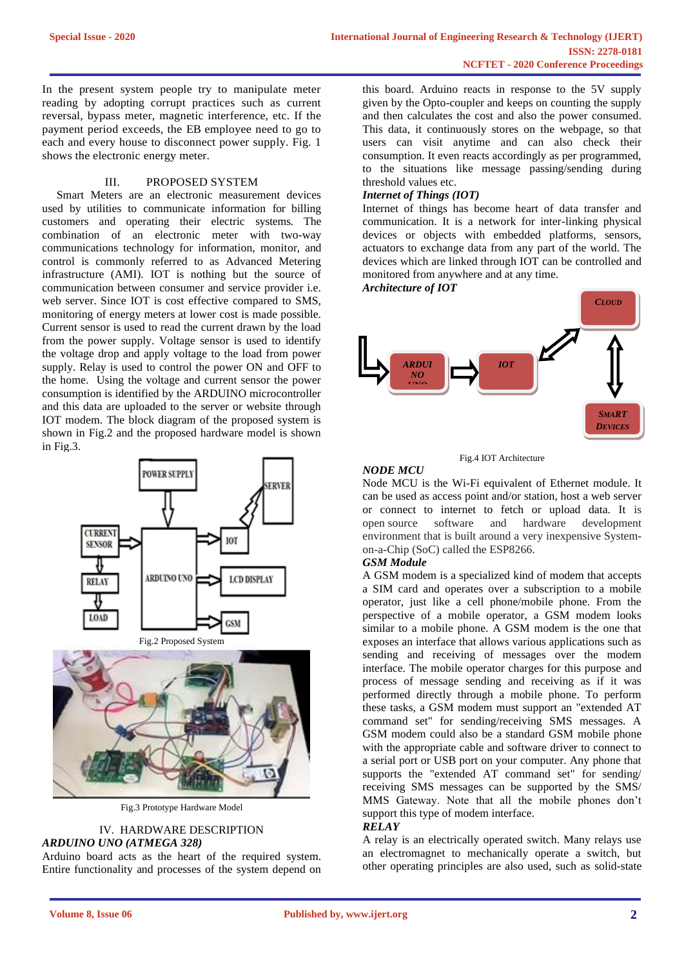In the present system people try to manipulate meter reading by adopting corrupt practices such as current reversal, bypass meter, magnetic interference, etc. If the payment period exceeds, the EB employee need to go to each and every house to disconnect power supply. Fig. 1 shows the electronic energy meter.

# III. PROPOSED SYSTEM

 Smart Meters are an electronic measurement devices used by utilities to communicate information for billing customers and operating their electric systems. The combination of an electronic meter with two-way communications technology for information, monitor, and control is commonly referred to as Advanced Metering infrastructure (AMI). IOT is nothing but the source of communication between consumer and service provider i.e. web server. Since IOT is cost effective compared to SMS, monitoring of energy meters at lower cost is made possible. Current sensor is used to read the current drawn by the load from the power supply. Voltage sensor is used to identify the voltage drop and apply voltage to the load from power supply. Relay is used to control the power ON and OFF to the home. Using the voltage and current sensor the power consumption is identified by the ARDUINO microcontroller and this data are uploaded to the server or website through IOT modem. The block diagram of the proposed system is shown in Fig.2 and the proposed hardware model is shown in Fig.3.



Fig.3 Prototype Hardware Model

# IV. HARDWARE DESCRIPTION *ARDUINO UNO (ATMEGA 328)*

Arduino board acts as the heart of the required system. Entire functionality and processes of the system depend on this board. Arduino reacts in response to the 5V supply given by the Opto-coupler and keeps on counting the supply and then calculates the cost and also the power consumed. This data, it continuously stores on the webpage, so that users can visit anytime and can also check their consumption. It even reacts accordingly as per programmed, to the situations like message passing/sending during threshold values etc.

# *Internet of Things (IOT)*

Internet of things has become heart of data transfer and communication. It is a network for inter-linking physical devices or objects with embedded platforms, sensors, actuators to exchange data from any part of the world. The devices which are linked through IOT can be controlled and monitored from anywhere and at any time.

*Architecture of IOT*



Fig.4 IOT Architecture

# *NODE MCU*

Node MCU is the Wi-Fi equivalent of Ethernet module. It can be used as access point and/or station, host a web server or connect to internet to fetch or upload data. It is open source software and hardware development environment that is built around a very inexpensive Systemon-a-Chip (SoC) called the ESP8266.

# *GSM Module*

A GSM modem is a specialized kind of modem that accepts a SIM card and operates over a subscription to a mobile operator, just like a cell phone/mobile phone. From the perspective of a mobile operator, a GSM modem looks similar to a mobile phone. A GSM modem is the one that exposes an interface that allows various applications such as sending and receiving of messages over the modem interface. The mobile operator charges for this purpose and process of message sending and receiving as if it was performed directly through a mobile phone. To perform these tasks, a GSM modem must support an "extended AT command set" for sending/receiving SMS messages. A GSM modem could also be a standard GSM mobile phone with the appropriate cable and software driver to connect to a serial port or USB port on your computer. Any phone that supports the "extended AT command set" for sending/ receiving SMS messages can be supported by the SMS/ MMS Gateway. Note that all the mobile phones don't support this type of modem interface.

#### *RELAY*

A relay is an electrically operated switch. Many relays use an electromagnet to mechanically operate a switch, but other operating principles are also used, such as solid-state